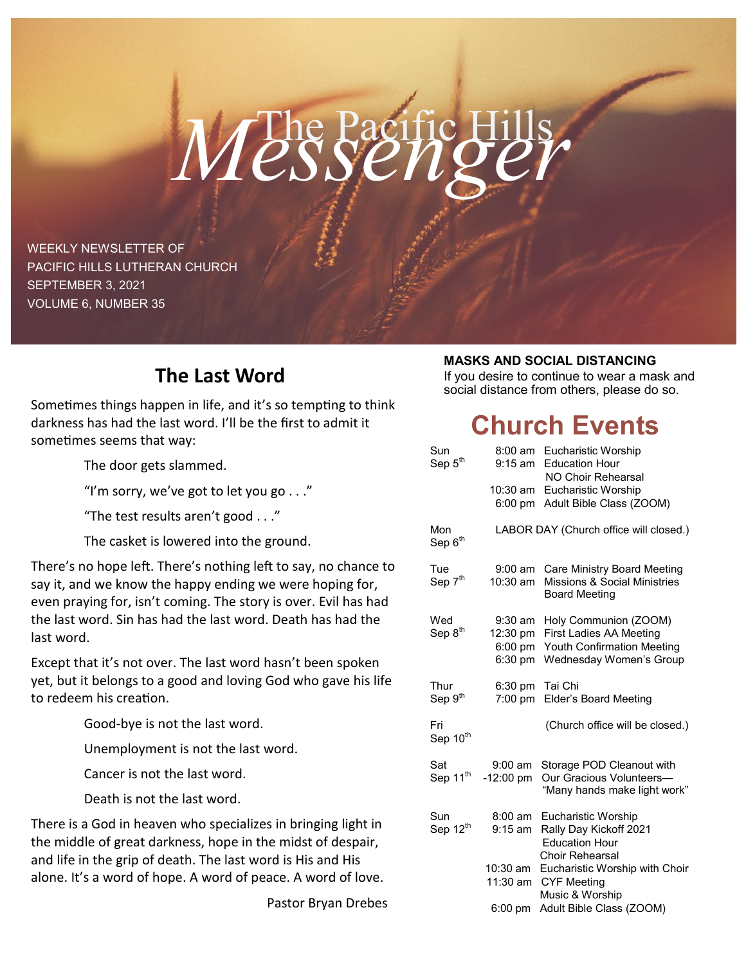# The Pacific Hills *Messenger*

WEEKLY NEWSLETTER OF PACIFIC HILLS LUTHERAN CHURCH SEPTEMBER 3, 2021 VOLUME 6, NUMBER 35

# **The Last Word**

Sometimes things happen in life, and it's so tempting to think darkness has had the last word. I'll be the first to admit it sometimes seems that way:

The door gets slammed.

"I'm sorry, we've got to let you go  $\dots$ "

"The test results aren't good . . ."

The casket is lowered into the ground.

There's no hope left. There's nothing left to say, no chance to say it, and we know the happy ending we were hoping for, even praying for, isn't coming. The story is over. Evil has had the last word. Sin has had the last word. Death has had the last word.

Except that it's not over. The last word hasn't been spoken yet, but it belongs to a good and loving God who gave his life to redeem his creation.

Good-bye is not the last word.

Unemployment is not the last word.

Cancer is not the last word.

Death is not the last word.

There is a God in heaven who specializes in bringing light in the middle of great darkness, hope in the midst of despair, and life in the grip of death. The last word is His and His alone. It's a word of hope. A word of peace. A word of love.

Pastor Bryan Drebes

## **MASKS AND SOCIAL DISTANCING**

If you desire to continue to wear a mask and social distance from others, please do so.

# **Church Events**

| Sun                        | $8:00$ am                              | Eucharistic Worship                                             |
|----------------------------|----------------------------------------|-----------------------------------------------------------------|
| Sep $5^{\text{th}}$        | $9:15$ am                              | <b>Education Hour</b>                                           |
|                            |                                        | NO Choir Rehearsal                                              |
|                            | $10:30$ am                             | Eucharistic Worship                                             |
|                            | $6:00$ pm                              | Adult Bible Class (ZOOM)                                        |
| Mon<br>Sep 6 <sup>th</sup> | LABOR DAY (Church office will closed.) |                                                                 |
| Tue                        | $9:00$ am                              | <b>Care Ministry Board Meeting</b>                              |
| Sep 7 <sup>th</sup>        | 10:30 am                               | <b>Missions &amp; Social Ministries</b><br><b>Board Meeting</b> |
| Wed                        | $9:30 \text{ am}$                      | Holy Communion (ZOOM)                                           |
| Sep 8 <sup>th</sup>        | 12:30 pm                               | First Ladies AA Meeting                                         |
|                            | 6:00 pm                                | <b>Youth Confirmation Meeting</b>                               |
|                            | 6:30 pm                                | Wednesday Women's Group                                         |
| Thur                       | $6:30 \text{ pm}$                      | Tai Chi                                                         |
| Sep 9 <sup>th</sup>        | $7:00 \text{ pm}$                      | Elder's Board Meeting                                           |
| Fri                        |                                        | (Church office will be closed.)                                 |
| Sep 10 <sup>th</sup>       |                                        |                                                                 |
| Sat                        | 9:00 am                                | Storage POD Cleanout with                                       |
| Sep 11 <sup>th</sup>       | $-12:00$ pm                            | Our Gracious Volunteers-                                        |
|                            |                                        | "Many hands make light work"                                    |
| Sun                        | $8:00 \text{ am}$                      | Eucharistic Worship                                             |
| Sep 12 <sup>th</sup>       | $9:15$ am                              | Rally Day Kickoff 2021                                          |
|                            |                                        | <b>Education Hour</b>                                           |
|                            | 10:30 am                               | Choir Rehearsal<br>Eucharistic Worship with Choir               |
|                            | 11:30 am                               | <b>CYF Meeting</b>                                              |
|                            |                                        | Music & Worship                                                 |
|                            | $6:00$ pm                              | Adult Bible Class (ZOOM)                                        |